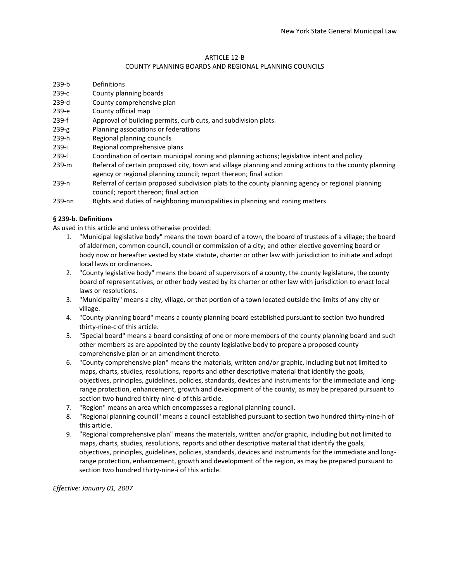## ARTICLE 12-B

## COUNTY PLANNING BOARDS AND REGIONAL PLANNING COUNCILS

- 239-b Definitions
- 239-c County planning boards
- 239-d County comprehensive plan
- 239-e County official map
- 239-f Approval of building permits, curb cuts, and subdivision plats.
- 239-g Planning associations or federations
- 239-h Regional planning councils
- 239-i Regional comprehensive plans
- 239-l Coordination of certain municipal zoning and planning actions; legislative intent and policy
- 239-m Referral of certain proposed city, town and village planning and zoning actions to the county planning agency or regional planning council; report thereon; final action
- 239-n Referral of certain proposed subdivision plats to the county planning agency or regional planning council; report thereon; final action
- 239-nn Rights and duties of neighboring municipalities in planning and zoning matters

## **§ 239-b. Definitions**

As used in this article and unless otherwise provided:

- 1. "Municipal legislative body" means the town board of a town, the board of trustees of a village; the board of aldermen, common council, council or commission of a city; and other elective governing board or body now or hereafter vested by state statute, charter or other law with jurisdiction to initiate and adopt local laws or ordinances.
- 2. "County legislative body" means the board of supervisors of a county, the county legislature, the county board of representatives, or other body vested by its charter or other law with jurisdiction to enact local laws or resolutions.
- 3. "Municipality" means a city, village, or that portion of a town located outside the limits of any city or village.
- 4. "County planning board" means a county planning board established pursuant to section two hundred thirty-nine-c of this article.
- 5. "Special board" means a board consisting of one or more members of the county planning board and such other members as are appointed by the county legislative body to prepare a proposed county comprehensive plan or an amendment thereto.
- 6. "County comprehensive plan" means the materials, written and/or graphic, including but not limited to maps, charts, studies, resolutions, reports and other descriptive material that identify the goals, objectives, principles, guidelines, policies, standards, devices and instruments for the immediate and longrange protection, enhancement, growth and development of the county, as may be prepared pursuant to section two hundred thirty-nine-d of this article.
- 7. "Region" means an area which encompasses a regional planning council.
- 8. "Regional planning council" means a council established pursuant to section two hundred thirty-nine-h of this article.
- 9. "Regional comprehensive plan" means the materials, written and/or graphic, including but not limited to maps, charts, studies, resolutions, reports and other descriptive material that identify the goals, objectives, principles, guidelines, policies, standards, devices and instruments for the immediate and longrange protection, enhancement, growth and development of the region, as may be prepared pursuant to section two hundred thirty-nine-i of this article.

*Effective: January 01, 2007*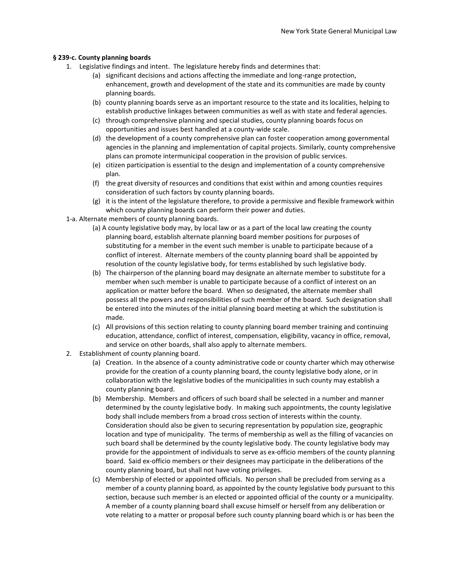#### **§ 239-c. County planning boards**

- 1. Legislative findings and intent. The legislature hereby finds and determines that:
	- (a) significant decisions and actions affecting the immediate and long-range protection, enhancement, growth and development of the state and its communities are made by county planning boards.
	- (b) county planning boards serve as an important resource to the state and its localities, helping to establish productive linkages between communities as well as with state and federal agencies.
	- (c) through comprehensive planning and special studies, county planning boards focus on opportunities and issues best handled at a county-wide scale.
	- (d) the development of a county comprehensive plan can foster cooperation among governmental agencies in the planning and implementation of capital projects. Similarly, county comprehensive plans can promote intermunicipal cooperation in the provision of public services.
	- (e) citizen participation is essential to the design and implementation of a county comprehensive plan.
	- (f) the great diversity of resources and conditions that exist within and among counties requires consideration of such factors by county planning boards.
	- (g) it is the intent of the legislature therefore, to provide a permissive and flexible framework within which county planning boards can perform their power and duties.
- 1-a. Alternate members of county planning boards.
	- (a) A county legislative body may, by local law or as a part of the local law creating the county planning board, establish alternate planning board member positions for purposes of substituting for a member in the event such member is unable to participate because of a conflict of interest. Alternate members of the county planning board shall be appointed by resolution of the county legislative body, for terms established by such legislative body.
	- (b) The chairperson of the planning board may designate an alternate member to substitute for a member when such member is unable to participate because of a conflict of interest on an application or matter before the board. When so designated, the alternate member shall possess all the powers and responsibilities of such member of the board. Such designation shall be entered into the minutes of the initial planning board meeting at which the substitution is made.
	- (c) All provisions of this section relating to county planning board member training and continuing education, attendance, conflict of interest, compensation, eligibility, vacancy in office, removal, and service on other boards, shall also apply to alternate members.
- 2. Establishment of county planning board.
	- (a) Creation. In the absence of a county administrative code or county charter which may otherwise provide for the creation of a county planning board, the county legislative body alone, or in collaboration with the legislative bodies of the municipalities in such county may establish a county planning board.
	- (b) Membership. Members and officers of such board shall be selected in a number and manner determined by the county legislative body. In making such appointments, the county legislative body shall include members from a broad cross section of interests within the county. Consideration should also be given to securing representation by population size, geographic location and type of municipality. The terms of membership as well as the filling of vacancies on such board shall be determined by the county legislative body. The county legislative body may provide for the appointment of individuals to serve as ex-officio members of the county planning board. Said ex-officio members or their designees may participate in the deliberations of the county planning board, but shall not have voting privileges.
	- (c) Membership of elected or appointed officials. No person shall be precluded from serving as a member of a county planning board, as appointed by the county legislative body pursuant to this section, because such member is an elected or appointed official of the county or a municipality. A member of a county planning board shall excuse himself or herself from any deliberation or vote relating to a matter or proposal before such county planning board which is or has been the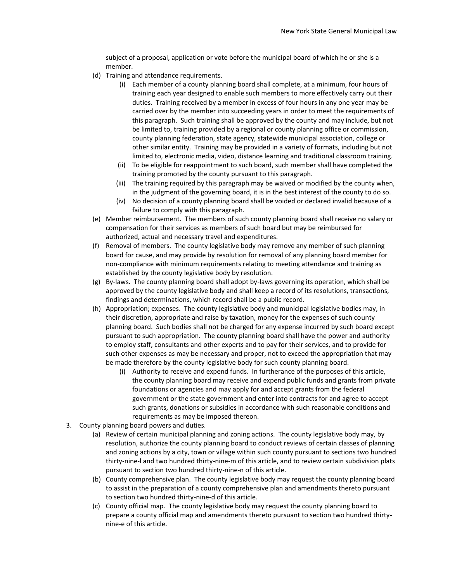subject of a proposal, application or vote before the municipal board of which he or she is a member.

- (d) Training and attendance requirements.
	- (i) Each member of a county planning board shall complete, at a minimum, four hours of training each year designed to enable such members to more effectively carry out their duties. Training received by a member in excess of four hours in any one year may be carried over by the member into succeeding years in order to meet the requirements of this paragraph. Such training shall be approved by the county and may include, but not be limited to, training provided by a regional or county planning office or commission, county planning federation, state agency, statewide municipal association, college or other similar entity. Training may be provided in a variety of formats, including but not limited to, electronic media, video, distance learning and traditional classroom training.
	- (ii) To be eligible for reappointment to such board, such member shall have completed the training promoted by the county pursuant to this paragraph.
	- (iii) The training required by this paragraph may be waived or modified by the county when, in the judgment of the governing board, it is in the best interest of the county to do so.
	- (iv) No decision of a county planning board shall be voided or declared invalid because of a failure to comply with this paragraph.
- (e) Member reimbursement. The members of such county planning board shall receive no salary or compensation for their services as members of such board but may be reimbursed for authorized, actual and necessary travel and expenditures.
- (f) Removal of members. The county legislative body may remove any member of such planning board for cause, and may provide by resolution for removal of any planning board member for non-compliance with minimum requirements relating to meeting attendance and training as established by the county legislative body by resolution.
- (g) By-laws. The county planning board shall adopt by-laws governing its operation, which shall be approved by the county legislative body and shall keep a record of its resolutions, transactions, findings and determinations, which record shall be a public record.
- (h) Appropriation; expenses. The county legislative body and municipal legislative bodies may, in their discretion, appropriate and raise by taxation, money for the expenses of such county planning board. Such bodies shall not be charged for any expense incurred by such board except pursuant to such appropriation. The county planning board shall have the power and authority to employ staff, consultants and other experts and to pay for their services, and to provide for such other expenses as may be necessary and proper, not to exceed the appropriation that may be made therefore by the county legislative body for such county planning board.
	- (i) Authority to receive and expend funds. In furtherance of the purposes of this article, the county planning board may receive and expend public funds and grants from private foundations or agencies and may apply for and accept grants from the federal government or the state government and enter into contracts for and agree to accept such grants, donations or subsidies in accordance with such reasonable conditions and requirements as may be imposed thereon.
- 3. County planning board powers and duties.
	- (a) Review of certain municipal planning and zoning actions. The county legislative body may, by resolution, authorize the county planning board to conduct reviews of certain classes of planning and zoning actions by a city, town or village within such county pursuant to sections two hundred thirty-nine-l and two hundred thirty-nine-m of this article, and to review certain subdivision plats pursuant to section two hundred thirty-nine-n of this article.
	- (b) County comprehensive plan. The county legislative body may request the county planning board to assist in the preparation of a county comprehensive plan and amendments thereto pursuant to section two hundred thirty-nine-d of this article.
	- (c) County official map. The county legislative body may request the county planning board to prepare a county official map and amendments thereto pursuant to section two hundred thirtynine-e of this article.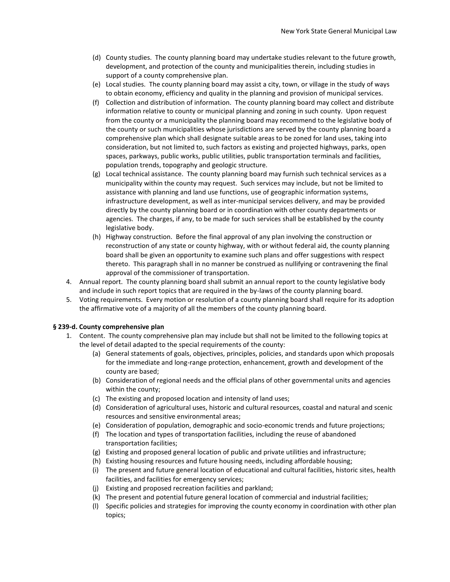- (d) County studies. The county planning board may undertake studies relevant to the future growth, development, and protection of the county and municipalities therein, including studies in support of a county comprehensive plan.
- (e) Local studies. The county planning board may assist a city, town, or village in the study of ways to obtain economy, efficiency and quality in the planning and provision of municipal services.
- (f) Collection and distribution of information. The county planning board may collect and distribute information relative to county or municipal planning and zoning in such county. Upon request from the county or a municipality the planning board may recommend to the legislative body of the county or such municipalities whose jurisdictions are served by the county planning board a comprehensive plan which shall designate suitable areas to be zoned for land uses, taking into consideration, but not limited to, such factors as existing and projected highways, parks, open spaces, parkways, public works, public utilities, public transportation terminals and facilities, population trends, topography and geologic structure.
- (g) Local technical assistance. The county planning board may furnish such technical services as a municipality within the county may request. Such services may include, but not be limited to assistance with planning and land use functions, use of geographic information systems, infrastructure development, as well as inter-municipal services delivery, and may be provided directly by the county planning board or in coordination with other county departments or agencies. The charges, if any, to be made for such services shall be established by the county legislative body.
- (h) Highway construction. Before the final approval of any plan involving the construction or reconstruction of any state or county highway, with or without federal aid, the county planning board shall be given an opportunity to examine such plans and offer suggestions with respect thereto. This paragraph shall in no manner be construed as nullifying or contravening the final approval of the commissioner of transportation.
- 4. Annual report. The county planning board shall submit an annual report to the county legislative body and include in such report topics that are required in the by-laws of the county planning board.
- 5. Voting requirements. Every motion or resolution of a county planning board shall require for its adoption the affirmative vote of a majority of all the members of the county planning board.

### **§ 239-d. County comprehensive plan**

- 1. Content. The county comprehensive plan may include but shall not be limited to the following topics at the level of detail adapted to the special requirements of the county:
	- (a) General statements of goals, objectives, principles, policies, and standards upon which proposals for the immediate and long-range protection, enhancement, growth and development of the county are based;
	- (b) Consideration of regional needs and the official plans of other governmental units and agencies within the county;
	- (c) The existing and proposed location and intensity of land uses;
	- (d) Consideration of agricultural uses, historic and cultural resources, coastal and natural and scenic resources and sensitive environmental areas;
	- (e) Consideration of population, demographic and socio-economic trends and future projections;
	- (f) The location and types of transportation facilities, including the reuse of abandoned transportation facilities;
	- (g) Existing and proposed general location of public and private utilities and infrastructure;
	- (h) Existing housing resources and future housing needs, including affordable housing;
	- (i) The present and future general location of educational and cultural facilities, historic sites, health facilities, and facilities for emergency services;
	- (j) Existing and proposed recreation facilities and parkland;
	- (k) The present and potential future general location of commercial and industrial facilities;
	- (l) Specific policies and strategies for improving the county economy in coordination with other plan topics;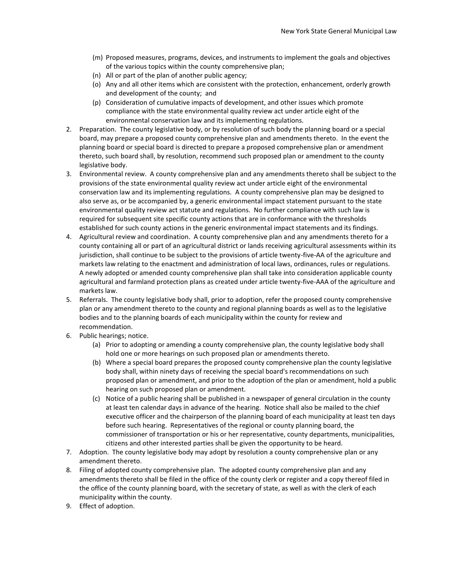- (m) Proposed measures, programs, devices, and instruments to implement the goals and objectives of the various topics within the county comprehensive plan;
- (n) All or part of the plan of another public agency;
- (o) Any and all other items which are consistent with the protection, enhancement, orderly growth and development of the county; and
- (p) Consideration of cumulative impacts of development, and other issues which promote compliance with the state environmental quality review act under article eight of the environmental conservation law and its implementing regulations.
- 2. Preparation. The county legislative body, or by resolution of such body the planning board or a special board, may prepare a proposed county comprehensive plan and amendments thereto. In the event the planning board or special board is directed to prepare a proposed comprehensive plan or amendment thereto, such board shall, by resolution, recommend such proposed plan or amendment to the county legislative body.
- 3. Environmental review. A county comprehensive plan and any amendments thereto shall be subject to the provisions of the state environmental quality review act under article eight of the environmental conservation law and its implementing regulations. A county comprehensive plan may be designed to also serve as, or be accompanied by, a generic environmental impact statement pursuant to the state environmental quality review act statute and regulations. No further compliance with such law is required for subsequent site specific county actions that are in conformance with the thresholds established for such county actions in the generic environmental impact statements and its findings.
- 4. Agricultural review and coordination. A county comprehensive plan and any amendments thereto for a county containing all or part of an agricultural district or lands receiving agricultural assessments within its jurisdiction, shall continue to be subject to the provisions of article twenty-five-AA of the agriculture and markets law relating to the enactment and administration of local laws, ordinances, rules or regulations. A newly adopted or amended county comprehensive plan shall take into consideration applicable county agricultural and farmland protection plans as created under article twenty-five-AAA of the agriculture and markets law.
- 5. Referrals. The county legislative body shall, prior to adoption, refer the proposed county comprehensive plan or any amendment thereto to the county and regional planning boards as well as to the legislative bodies and to the planning boards of each municipality within the county for review and recommendation.
- 6. Public hearings; notice.
	- (a) Prior to adopting or amending a county comprehensive plan, the county legislative body shall hold one or more hearings on such proposed plan or amendments thereto.
	- (b) Where a special board prepares the proposed county comprehensive plan the county legislative body shall, within ninety days of receiving the special board's recommendations on such proposed plan or amendment, and prior to the adoption of the plan or amendment, hold a public hearing on such proposed plan or amendment.
	- (c) Notice of a public hearing shall be published in a newspaper of general circulation in the county at least ten calendar days in advance of the hearing. Notice shall also be mailed to the chief executive officer and the chairperson of the planning board of each municipality at least ten days before such hearing. Representatives of the regional or county planning board, the commissioner of transportation or his or her representative, county departments, municipalities, citizens and other interested parties shall be given the opportunity to be heard.
- 7. Adoption. The county legislative body may adopt by resolution a county comprehensive plan or any amendment thereto.
- 8. Filing of adopted county comprehensive plan. The adopted county comprehensive plan and any amendments thereto shall be filed in the office of the county clerk or register and a copy thereof filed in the office of the county planning board, with the secretary of state, as well as with the clerk of each municipality within the county.
- 9. Effect of adoption.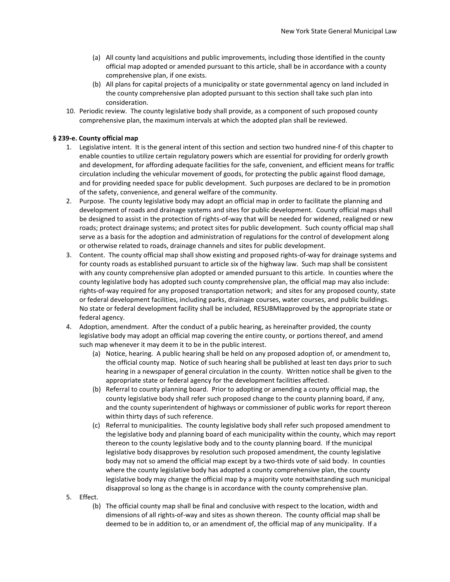- (a) All county land acquisitions and public improvements, including those identified in the county official map adopted or amended pursuant to this article, shall be in accordance with a county comprehensive plan, if one exists.
- (b) All plans for capital projects of a municipality or state governmental agency on land included in the county comprehensive plan adopted pursuant to this section shall take such plan into consideration.
- 10. Periodic review. The county legislative body shall provide, as a component of such proposed county comprehensive plan, the maximum intervals at which the adopted plan shall be reviewed.

# **§ 239-e. County official map**

- 1. Legislative intent. It is the general intent of this section and section two hundred nine-f of this chapter to enable counties to utilize certain regulatory powers which are essential for providing for orderly growth and development, for affording adequate facilities for the safe, convenient, and efficient means for traffic circulation including the vehicular movement of goods, for protecting the public against flood damage, and for providing needed space for public development. Such purposes are declared to be in promotion of the safety, convenience, and general welfare of the community.
- 2. Purpose. The county legislative body may adopt an official map in order to facilitate the planning and development of roads and drainage systems and sites for public development. County official maps shall be designed to assist in the protection of rights-of-way that will be needed for widened, realigned or new roads; protect drainage systems; and protect sites for public development. Such county official map shall serve as a basis for the adoption and administration of regulations for the control of development along or otherwise related to roads, drainage channels and sites for public development.
- 3. Content. The county official map shall show existing and proposed rights-of-way for drainage systems and for county roads as established pursuant to article six of the highway law. Such map shall be consistent with any county comprehensive plan adopted or amended pursuant to this article. In counties where the county legislative body has adopted such county comprehensive plan, the official map may also include: rights-of-way required for any proposed transportation network; and sites for any proposed county, state or federal development facilities, including parks, drainage courses, water courses, and public buildings. No state or federal development facility shall be included, RESUBMIapproved by the appropriate state or federal agency.
- 4. Adoption, amendment. After the conduct of a public hearing, as hereinafter provided, the county legislative body may adopt an official map covering the entire county, or portions thereof, and amend such map whenever it may deem it to be in the public interest.
	- (a) Notice, hearing. A public hearing shall be held on any proposed adoption of, or amendment to, the official county map. Notice of such hearing shall be published at least ten days prior to such hearing in a newspaper of general circulation in the county. Written notice shall be given to the appropriate state or federal agency for the development facilities affected.
	- (b) Referral to county planning board. Prior to adopting or amending a county official map, the county legislative body shall refer such proposed change to the county planning board, if any, and the county superintendent of highways or commissioner of public works for report thereon within thirty days of such reference.
	- (c) Referral to municipalities. The county legislative body shall refer such proposed amendment to the legislative body and planning board of each municipality within the county, which may report thereon to the county legislative body and to the county planning board. If the municipal legislative body disapproves by resolution such proposed amendment, the county legislative body may not so amend the official map except by a two-thirds vote of said body. In counties where the county legislative body has adopted a county comprehensive plan, the county legislative body may change the official map by a majority vote notwithstanding such municipal disapproval so long as the change is in accordance with the county comprehensive plan.
- 5. Effect.
	- (b) The official county map shall be final and conclusive with respect to the location, width and dimensions of all rights-of-way and sites as shown thereon. The county official map shall be deemed to be in addition to, or an amendment of, the official map of any municipality. If a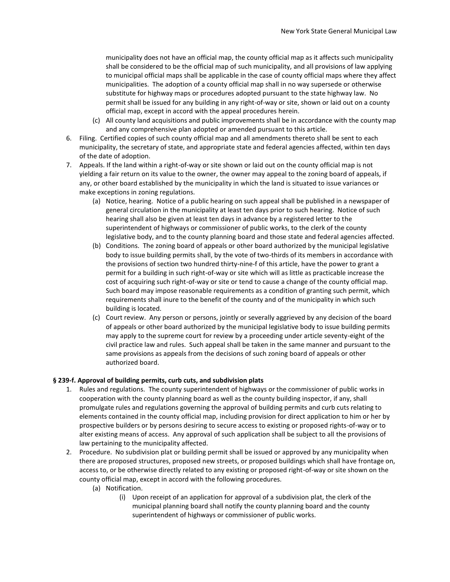municipality does not have an official map, the county official map as it affects such municipality shall be considered to be the official map of such municipality, and all provisions of law applying to municipal official maps shall be applicable in the case of county official maps where they affect municipalities. The adoption of a county official map shall in no way supersede or otherwise substitute for highway maps or procedures adopted pursuant to the state highway law. No permit shall be issued for any building in any right-of-way or site, shown or laid out on a county official map, except in accord with the appeal procedures herein.

- (c) All county land acquisitions and public improvements shall be in accordance with the county map and any comprehensive plan adopted or amended pursuant to this article.
- 6. Filing. Certified copies of such county official map and all amendments thereto shall be sent to each municipality, the secretary of state, and appropriate state and federal agencies affected, within ten days of the date of adoption.
- 7. Appeals. If the land within a right-of-way or site shown or laid out on the county official map is not yielding a fair return on its value to the owner, the owner may appeal to the zoning board of appeals, if any, or other board established by the municipality in which the land is situated to issue variances or make exceptions in zoning regulations.
	- (a) Notice, hearing. Notice of a public hearing on such appeal shall be published in a newspaper of general circulation in the municipality at least ten days prior to such hearing. Notice of such hearing shall also be given at least ten days in advance by a registered letter to the superintendent of highways or commissioner of public works, to the clerk of the county legislative body, and to the county planning board and those state and federal agencies affected.
	- (b) Conditions. The zoning board of appeals or other board authorized by the municipal legislative body to issue building permits shall, by the vote of two-thirds of its members in accordance with the provisions of section two hundred thirty-nine-f of this article, have the power to grant a permit for a building in such right-of-way or site which will as little as practicable increase the cost of acquiring such right-of-way or site or tend to cause a change of the county official map. Such board may impose reasonable requirements as a condition of granting such permit, which requirements shall inure to the benefit of the county and of the municipality in which such building is located.
	- (c) Court review. Any person or persons, jointly or severally aggrieved by any decision of the board of appeals or other board authorized by the municipal legislative body to issue building permits may apply to the supreme court for review by a proceeding under article seventy-eight of the civil practice law and rules. Such appeal shall be taken in the same manner and pursuant to the same provisions as appeals from the decisions of such zoning board of appeals or other authorized board.

### **§ 239-f. Approval of building permits, curb cuts, and subdivision plats**

- 1. Rules and regulations. The county superintendent of highways or the commissioner of public works in cooperation with the county planning board as well as the county building inspector, if any, shall promulgate rules and regulations governing the approval of building permits and curb cuts relating to elements contained in the county official map, including provision for direct application to him or her by prospective builders or by persons desiring to secure access to existing or proposed rights-of-way or to alter existing means of access. Any approval of such application shall be subject to all the provisions of law pertaining to the municipality affected.
- 2. Procedure. No subdivision plat or building permit shall be issued or approved by any municipality when there are proposed structures, proposed new streets, or proposed buildings which shall have frontage on, access to, or be otherwise directly related to any existing or proposed right-of-way or site shown on the county official map, except in accord with the following procedures.
	- (a) Notification.
		- (i) Upon receipt of an application for approval of a subdivision plat, the clerk of the municipal planning board shall notify the county planning board and the county superintendent of highways or commissioner of public works.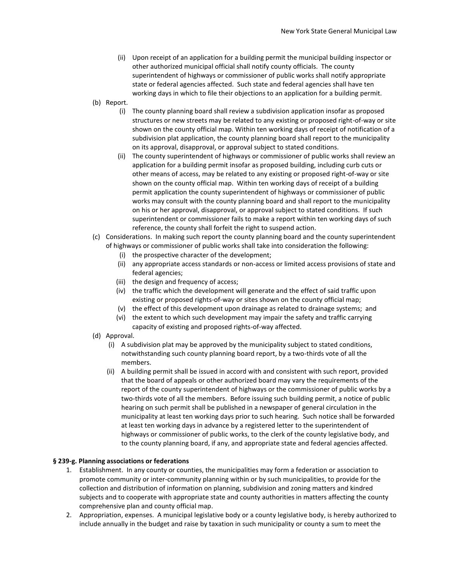- (ii) Upon receipt of an application for a building permit the municipal building inspector or other authorized municipal official shall notify county officials. The county superintendent of highways or commissioner of public works shall notify appropriate state or federal agencies affected. Such state and federal agencies shall have ten working days in which to file their objections to an application for a building permit.
- (b) Report.
	- (i) The county planning board shall review a subdivision application insofar as proposed structures or new streets may be related to any existing or proposed right-of-way or site shown on the county official map. Within ten working days of receipt of notification of a subdivision plat application, the county planning board shall report to the municipality on its approval, disapproval, or approval subject to stated conditions.
	- (ii) The county superintendent of highways or commissioner of public works shall review an application for a building permit insofar as proposed building, including curb cuts or other means of access, may be related to any existing or proposed right-of-way or site shown on the county official map. Within ten working days of receipt of a building permit application the county superintendent of highways or commissioner of public works may consult with the county planning board and shall report to the municipality on his or her approval, disapproval, or approval subject to stated conditions. If such superintendent or commissioner fails to make a report within ten working days of such reference, the county shall forfeit the right to suspend action.
- (c) Considerations. In making such report the county planning board and the county superintendent of highways or commissioner of public works shall take into consideration the following:
	- (i) the prospective character of the development;
	- (ii) any appropriate access standards or non-access or limited access provisions of state and federal agencies;
	- (iii) the design and frequency of access;
	- (iv) the traffic which the development will generate and the effect of said traffic upon existing or proposed rights-of-way or sites shown on the county official map;
	- (v) the effect of this development upon drainage as related to drainage systems; and
	- (vi) the extent to which such development may impair the safety and traffic carrying capacity of existing and proposed rights-of-way affected.
- (d) Approval.
	- (i) A subdivision plat may be approved by the municipality subject to stated conditions, notwithstanding such county planning board report, by a two-thirds vote of all the members.
	- (ii) A building permit shall be issued in accord with and consistent with such report, provided that the board of appeals or other authorized board may vary the requirements of the report of the county superintendent of highways or the commissioner of public works by a two-thirds vote of all the members. Before issuing such building permit, a notice of public hearing on such permit shall be published in a newspaper of general circulation in the municipality at least ten working days prior to such hearing. Such notice shall be forwarded at least ten working days in advance by a registered letter to the superintendent of highways or commissioner of public works, to the clerk of the county legislative body, and to the county planning board, if any, and appropriate state and federal agencies affected.

#### **§ 239-g. Planning associations or federations**

- 1. Establishment. In any county or counties, the municipalities may form a federation or association to promote community or inter-community planning within or by such municipalities, to provide for the collection and distribution of information on planning, subdivision and zoning matters and kindred subjects and to cooperate with appropriate state and county authorities in matters affecting the county comprehensive plan and county official map.
- 2. Appropriation, expenses. A municipal legislative body or a county legislative body, is hereby authorized to include annually in the budget and raise by taxation in such municipality or county a sum to meet the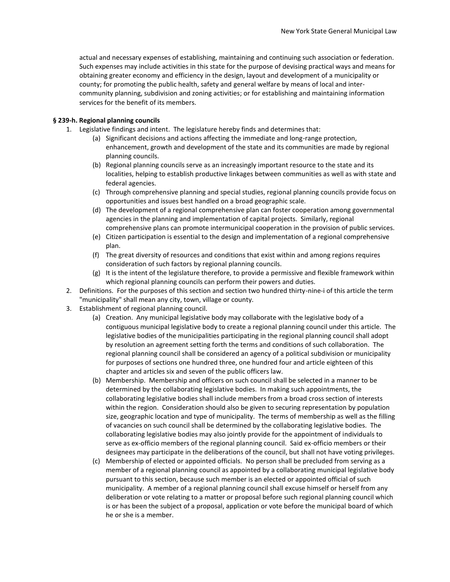actual and necessary expenses of establishing, maintaining and continuing such association or federation. Such expenses may include activities in this state for the purpose of devising practical ways and means for obtaining greater economy and efficiency in the design, layout and development of a municipality or county; for promoting the public health, safety and general welfare by means of local and intercommunity planning, subdivision and zoning activities; or for establishing and maintaining information services for the benefit of its members.

## **§ 239-h. Regional planning councils**

- 1. Legislative findings and intent. The legislature hereby finds and determines that:
	- (a) Significant decisions and actions affecting the immediate and long-range protection, enhancement, growth and development of the state and its communities are made by regional planning councils.
	- (b) Regional planning councils serve as an increasingly important resource to the state and its localities, helping to establish productive linkages between communities as well as with state and federal agencies.
	- (c) Through comprehensive planning and special studies, regional planning councils provide focus on opportunities and issues best handled on a broad geographic scale.
	- (d) The development of a regional comprehensive plan can foster cooperation among governmental agencies in the planning and implementation of capital projects. Similarly, regional comprehensive plans can promote intermunicipal cooperation in the provision of public services.
	- (e) Citizen participation is essential to the design and implementation of a regional comprehensive plan.
	- (f) The great diversity of resources and conditions that exist within and among regions requires consideration of such factors by regional planning councils.
	- (g) It is the intent of the legislature therefore, to provide a permissive and flexible framework within which regional planning councils can perform their powers and duties.
- 2. Definitions. For the purposes of this section and section two hundred thirty-nine-i of this article the term "municipality" shall mean any city, town, village or county.
- 3. Establishment of regional planning council.
	- (a) Creation. Any municipal legislative body may collaborate with the legislative body of a contiguous municipal legislative body to create a regional planning council under this article. The legislative bodies of the municipalities participating in the regional planning council shall adopt by resolution an agreement setting forth the terms and conditions of such collaboration. The regional planning council shall be considered an agency of a political subdivision or municipality for purposes of sections one hundred three, one hundred four and article eighteen of this chapter and articles six and seven of the public officers law.
	- (b) Membership. Membership and officers on such council shall be selected in a manner to be determined by the collaborating legislative bodies. In making such appointments, the collaborating legislative bodies shall include members from a broad cross section of interests within the region. Consideration should also be given to securing representation by population size, geographic location and type of municipality. The terms of membership as well as the filling of vacancies on such council shall be determined by the collaborating legislative bodies. The collaborating legislative bodies may also jointly provide for the appointment of individuals to serve as ex-officio members of the regional planning council. Said ex-officio members or their designees may participate in the deliberations of the council, but shall not have voting privileges.
	- (c) Membership of elected or appointed officials. No person shall be precluded from serving as a member of a regional planning council as appointed by a collaborating municipal legislative body pursuant to this section, because such member is an elected or appointed official of such municipality. A member of a regional planning council shall excuse himself or herself from any deliberation or vote relating to a matter or proposal before such regional planning council which is or has been the subject of a proposal, application or vote before the municipal board of which he or she is a member.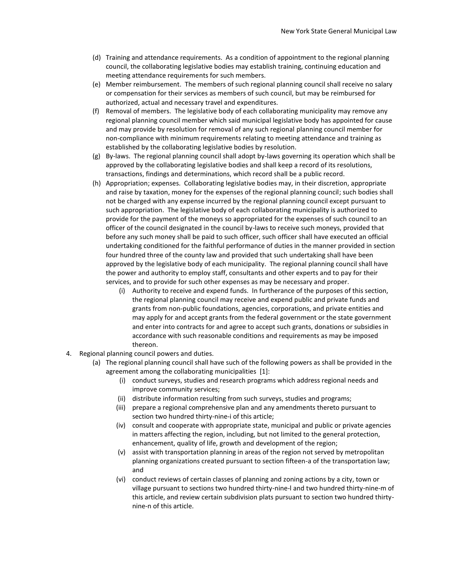- (d) Training and attendance requirements. As a condition of appointment to the regional planning council, the collaborating legislative bodies may establish training, continuing education and meeting attendance requirements for such members.
- (e) Member reimbursement. The members of such regional planning council shall receive no salary or compensation for their services as members of such council, but may be reimbursed for authorized, actual and necessary travel and expenditures.
- (f) Removal of members. The legislative body of each collaborating municipality may remove any regional planning council member which said municipal legislative body has appointed for cause and may provide by resolution for removal of any such regional planning council member for non-compliance with minimum requirements relating to meeting attendance and training as established by the collaborating legislative bodies by resolution.
- (g) By-laws. The regional planning council shall adopt by-laws governing its operation which shall be approved by the collaborating legislative bodies and shall keep a record of its resolutions, transactions, findings and determinations, which record shall be a public record.
- (h) Appropriation; expenses. Collaborating legislative bodies may, in their discretion, appropriate and raise by taxation, money for the expenses of the regional planning council; such bodies shall not be charged with any expense incurred by the regional planning council except pursuant to such appropriation. The legislative body of each collaborating municipality is authorized to provide for the payment of the moneys so appropriated for the expenses of such council to an officer of the council designated in the council by-laws to receive such moneys, provided that before any such money shall be paid to such officer, such officer shall have executed an official undertaking conditioned for the faithful performance of duties in the manner provided in section four hundred three of the county law and provided that such undertaking shall have been approved by the legislative body of each municipality. The regional planning council shall have the power and authority to employ staff, consultants and other experts and to pay for their services, and to provide for such other expenses as may be necessary and proper.
	- (i) Authority to receive and expend funds. In furtherance of the purposes of this section, the regional planning council may receive and expend public and private funds and grants from non-public foundations, agencies, corporations, and private entities and may apply for and accept grants from the federal government or the state government and enter into contracts for and agree to accept such grants, donations or subsidies in accordance with such reasonable conditions and requirements as may be imposed thereon.
- 4. Regional planning council powers and duties.
	- (a) The regional planning council shall have such of the following powers as shall be provided in the agreement among the collaborating municipalities [1]:
		- (i) conduct surveys, studies and research programs which address regional needs and improve community services;
		- (ii) distribute information resulting from such surveys, studies and programs;
		- (iii) prepare a regional comprehensive plan and any amendments thereto pursuant to section two hundred thirty-nine-i of this article;
		- (iv) consult and cooperate with appropriate state, municipal and public or private agencies in matters affecting the region, including, but not limited to the general protection, enhancement, quality of life, growth and development of the region;
		- (v) assist with transportation planning in areas of the region not served by metropolitan planning organizations created pursuant to section fifteen-a of the transportation law; and
		- (vi) conduct reviews of certain classes of planning and zoning actions by a city, town or village pursuant to sections two hundred thirty-nine-l and two hundred thirty-nine-m of this article, and review certain subdivision plats pursuant to section two hundred thirtynine-n of this article.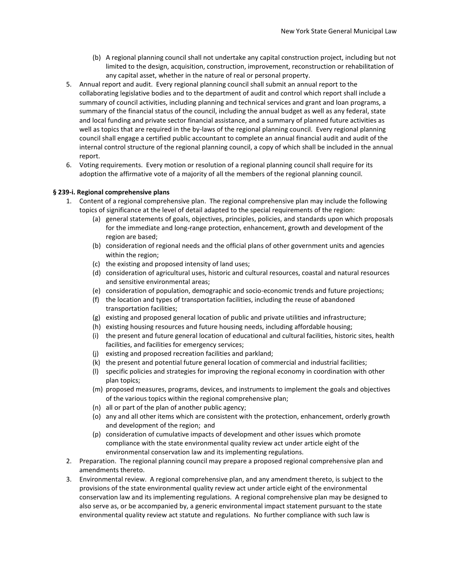- (b) A regional planning council shall not undertake any capital construction project, including but not limited to the design, acquisition, construction, improvement, reconstruction or rehabilitation of any capital asset, whether in the nature of real or personal property.
- 5. Annual report and audit. Every regional planning council shall submit an annual report to the collaborating legislative bodies and to the department of audit and control which report shall include a summary of council activities, including planning and technical services and grant and loan programs, a summary of the financial status of the council, including the annual budget as well as any federal, state and local funding and private sector financial assistance, and a summary of planned future activities as well as topics that are required in the by-laws of the regional planning council. Every regional planning council shall engage a certified public accountant to complete an annual financial audit and audit of the internal control structure of the regional planning council, a copy of which shall be included in the annual report.
- 6. Voting requirements. Every motion or resolution of a regional planning council shall require for its adoption the affirmative vote of a majority of all the members of the regional planning council.

#### **§ 239-i. Regional comprehensive plans**

- 1. Content of a regional comprehensive plan. The regional comprehensive plan may include the following topics of significance at the level of detail adapted to the special requirements of the region:
	- (a) general statements of goals, objectives, principles, policies, and standards upon which proposals for the immediate and long-range protection, enhancement, growth and development of the region are based;
	- (b) consideration of regional needs and the official plans of other government units and agencies within the region;
	- (c) the existing and proposed intensity of land uses;
	- (d) consideration of agricultural uses, historic and cultural resources, coastal and natural resources and sensitive environmental areas;
	- (e) consideration of population, demographic and socio-economic trends and future projections;
	- (f) the location and types of transportation facilities, including the reuse of abandoned transportation facilities;
	- (g) existing and proposed general location of public and private utilities and infrastructure;
	- (h) existing housing resources and future housing needs, including affordable housing;
	- (i) the present and future general location of educational and cultural facilities, historic sites, health facilities, and facilities for emergency services;
	- (j) existing and proposed recreation facilities and parkland;
	- (k) the present and potential future general location of commercial and industrial facilities;
	- (l) specific policies and strategies for improving the regional economy in coordination with other plan topics;
	- (m) proposed measures, programs, devices, and instruments to implement the goals and objectives of the various topics within the regional comprehensive plan;
	- (n) all or part of the plan of another public agency;
	- (o) any and all other items which are consistent with the protection, enhancement, orderly growth and development of the region; and
	- (p) consideration of cumulative impacts of development and other issues which promote compliance with the state environmental quality review act under article eight of the environmental conservation law and its implementing regulations.
- 2. Preparation. The regional planning council may prepare a proposed regional comprehensive plan and amendments thereto.
- 3. Environmental review. A regional comprehensive plan, and any amendment thereto, is subject to the provisions of the state environmental quality review act under article eight of the environmental conservation law and its implementing regulations. A regional comprehensive plan may be designed to also serve as, or be accompanied by, a generic environmental impact statement pursuant to the state environmental quality review act statute and regulations. No further compliance with such law is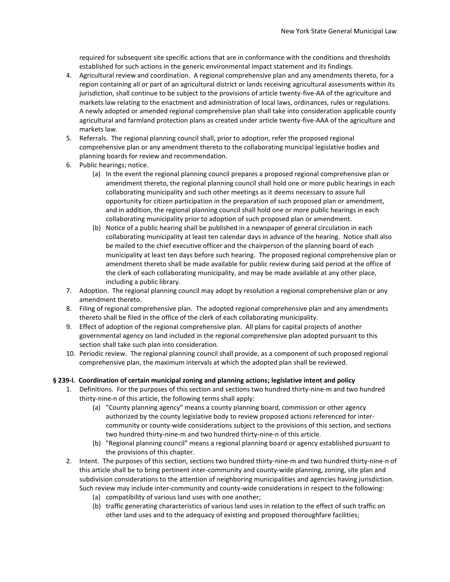required for subsequent site specific actions that are in conformance with the conditions and thresholds established for such actions in the generic environmental impact statement and its findings.

- 4. Agricultural review and coordination. A regional comprehensive plan and any amendments thereto, for a region containing all or part of an agricultural district or lands receiving agricultural assessments within its jurisdiction, shall continue to be subject to the provisions of article twenty-five-AA of the agriculture and markets law relating to the enactment and administration of local laws, ordinances, rules or regulations. A newly adopted or amended regional comprehensive plan shall take into consideration applicable county agricultural and farmland protection plans as created under article twenty-five-AAA of the agriculture and markets law.
- 5. Referrals. The regional planning council shall, prior to adoption, refer the proposed regional comprehensive plan or any amendment thereto to the collaborating municipal legislative bodies and planning boards for review and recommendation.
- 6. Public hearings; notice.
	- (a) In the event the regional planning council prepares a proposed regional comprehensive plan or amendment thereto, the regional planning council shall hold one or more public hearings in each collaborating municipality and such other meetings as it deems necessary to assure full opportunity for citizen participation in the preparation of such proposed plan or amendment, and in addition, the regional planning council shall hold one or more public hearings in each collaborating municipality prior to adoption of such proposed plan or amendment.
	- (b) Notice of a public hearing shall be published in a newspaper of general circulation in each collaborating municipality at least ten calendar days in advance of the hearing. Notice shall also be mailed to the chief executive officer and the chairperson of the planning board of each municipality at least ten days before such hearing. The proposed regional comprehensive plan or amendment thereto shall be made available for public review during said period at the office of the clerk of each collaborating municipality, and may be made available at any other place, including a public library.
- 7. Adoption. The regional planning council may adopt by resolution a regional comprehensive plan or any amendment thereto.
- 8. Filing of regional comprehensive plan. The adopted regional comprehensive plan and any amendments thereto shall be filed in the office of the clerk of each collaborating municipality.
- 9. Effect of adoption of the regional comprehensive plan. All plans for capital projects of another governmental agency on land included in the regional comprehensive plan adopted pursuant to this section shall take such plan into consideration.
- 10. Periodic review. The regional planning council shall provide, as a component of such proposed regional comprehensive plan, the maximum intervals at which the adopted plan shall be reviewed.

### **§ 239-l. Coordination of certain municipal zoning and planning actions; legislative intent and policy**

- 1. Definitions. For the purposes of this section and sections two hundred thirty-nine-m and two hundred thirty-nine-n of this article, the following terms shall apply:
	- (a) "County planning agency" means a county planning board, commission or other agency authorized by the county legislative body to review proposed actions referenced for intercommunity or county-wide considerations subject to the provisions of this section, and sections two hundred thirty-nine-m and two hundred thirty-nine-n of this article.
	- (b) "Regional planning council" means a regional planning board or agency established pursuant to the provisions of this chapter.
- 2. Intent. The purposes of this section, sections two hundred thirty-nine-m and two hundred thirty-nine-n of this article shall be to bring pertinent inter-community and county-wide planning, zoning, site plan and subdivision considerations to the attention of neighboring municipalities and agencies having jurisdiction. Such review may include inter-community and county-wide considerations in respect to the following:
	- (a) compatibility of various land uses with one another;
	- (b) traffic generating characteristics of various land uses in relation to the effect of such traffic on other land uses and to the adequacy of existing and proposed thoroughfare facilities;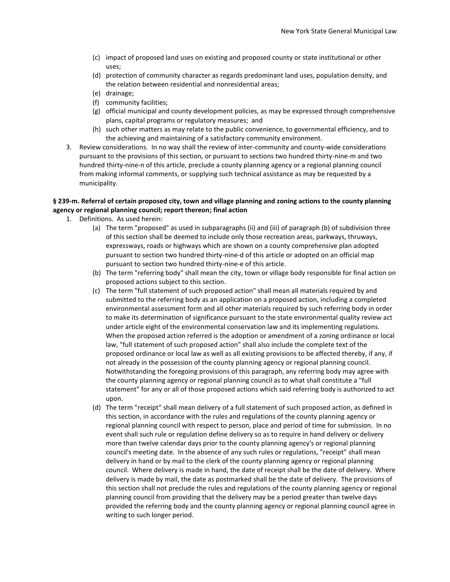- (c) impact of proposed land uses on existing and proposed county or state institutional or other uses;
- (d) protection of community character as regards predominant land uses, population density, and the relation between residential and nonresidential areas;
- (e) drainage;
- (f) community facilities;
- (g) official municipal and county development policies, as may be expressed through comprehensive plans, capital programs or regulatory measures; and
- (h) such other matters as may relate to the public convenience, to governmental efficiency, and to the achieving and maintaining of a satisfactory community environment.
- 3. Review considerations. In no way shall the review of inter-community and county-wide considerations pursuant to the provisions of this section, or pursuant to sections two hundred thirty-nine-m and two hundred thirty-nine-n of this article, preclude a county planning agency or a regional planning council from making informal comments, or supplying such technical assistance as may be requested by a municipality.

### **§ 239-m. Referral of certain proposed city, town and village planning and zoning actions to the county planning agency or regional planning council; report thereon; final action**

- 1. Definitions. As used herein:
	- (a) The term "proposed" as used in subparagraphs (ii) and (iii) of paragraph (b) of subdivision three of this section shall be deemed to include only those recreation areas, parkways, thruways, expressways, roads or highways which are shown on a county comprehensive plan adopted pursuant to section two hundred thirty-nine-d of this article or adopted on an official map pursuant to section two hundred thirty-nine-e of this article.
	- (b) The term "referring body" shall mean the city, town or village body responsible for final action on proposed actions subject to this section.
	- (c) The term "full statement of such proposed action" shall mean all materials required by and submitted to the referring body as an application on a proposed action, including a completed environmental assessment form and all other materials required by such referring body in order to make its determination of significance pursuant to the state environmental quality review act under article eight of the environmental conservation law and its implementing regulations. When the proposed action referred is the adoption or amendment of a zoning ordinance or local law, "full statement of such proposed action" shall also include the complete text of the proposed ordinance or local law as well as all existing provisions to be affected thereby, if any, if not already in the possession of the county planning agency or regional planning council. Notwithstanding the foregoing provisions of this paragraph, any referring body may agree with the county planning agency or regional planning council as to what shall constitute a "full statement" for any or all of those proposed actions which said referring body is authorized to act upon.
	- (d) The term "receipt" shall mean delivery of a full statement of such proposed action, as defined in this section, in accordance with the rules and regulations of the county planning agency or regional planning council with respect to person, place and period of time for submission. In no event shall such rule or regulation define delivery so as to require in hand delivery or delivery more than twelve calendar days prior to the county planning agency's or regional planning council's meeting date. In the absence of any such rules or regulations, "receipt" shall mean delivery in hand or by mail to the clerk of the county planning agency or regional planning council. Where delivery is made in hand, the date of receipt shall be the date of delivery. Where delivery is made by mail, the date as postmarked shall be the date of delivery. The provisions of this section shall not preclude the rules and regulations of the county planning agency or regional planning council from providing that the delivery may be a period greater than twelve days provided the referring body and the county planning agency or regional planning council agree in writing to such longer period.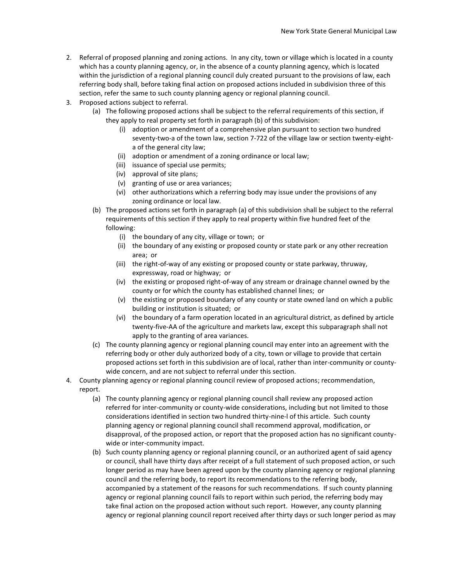- 2. Referral of proposed planning and zoning actions. In any city, town or village which is located in a county which has a county planning agency, or, in the absence of a county planning agency, which is located within the jurisdiction of a regional planning council duly created pursuant to the provisions of law, each referring body shall, before taking final action on proposed actions included in subdivision three of this section, refer the same to such county planning agency or regional planning council.
- 3. Proposed actions subject to referral.
	- (a) The following proposed actions shall be subject to the referral requirements of this section, if they apply to real property set forth in paragraph (b) of this subdivision:
		- (i) adoption or amendment of a comprehensive plan pursuant to section two hundred seventy-two-a of the town law, section 7-722 of the village law or section twenty-eighta of the general city law;
		- (ii) adoption or amendment of a zoning ordinance or local law;
		- (iii) issuance of special use permits;
		- (iv) approval of site plans;
		- (v) granting of use or area variances;
		- (vi) other authorizations which a referring body may issue under the provisions of any zoning ordinance or local law.
	- (b) The proposed actions set forth in paragraph (a) of this subdivision shall be subject to the referral requirements of this section if they apply to real property within five hundred feet of the following:
		- (i) the boundary of any city, village or town; or
		- (ii) the boundary of any existing or proposed county or state park or any other recreation area; or
		- (iii) the right-of-way of any existing or proposed county or state parkway, thruway, expressway, road or highway; or
		- (iv) the existing or proposed right-of-way of any stream or drainage channel owned by the county or for which the county has established channel lines; or
		- (v) the existing or proposed boundary of any county or state owned land on which a public building or institution is situated; or
		- (vi) the boundary of a farm operation located in an agricultural district, as defined by article twenty-five-AA of the agriculture and markets law, except this subparagraph shall not apply to the granting of area variances.
	- (c) The county planning agency or regional planning council may enter into an agreement with the referring body or other duly authorized body of a city, town or village to provide that certain proposed actions set forth in this subdivision are of local, rather than inter-community or countywide concern, and are not subject to referral under this section.
- 4. County planning agency or regional planning council review of proposed actions; recommendation, report.
	- (a) The county planning agency or regional planning council shall review any proposed action referred for inter-community or county-wide considerations, including but not limited to those considerations identified in section two hundred thirty-nine-l of this article. Such county planning agency or regional planning council shall recommend approval, modification, or disapproval, of the proposed action, or report that the proposed action has no significant countywide or inter-community impact.
	- (b) Such county planning agency or regional planning council, or an authorized agent of said agency or council, shall have thirty days after receipt of a full statement of such proposed action, or such longer period as may have been agreed upon by the county planning agency or regional planning council and the referring body, to report its recommendations to the referring body, accompanied by a statement of the reasons for such recommendations. If such county planning agency or regional planning council fails to report within such period, the referring body may take final action on the proposed action without such report. However, any county planning agency or regional planning council report received after thirty days or such longer period as may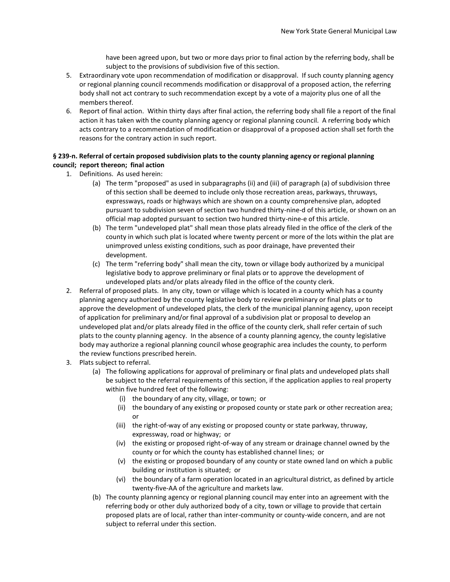have been agreed upon, but two or more days prior to final action by the referring body, shall be subject to the provisions of subdivision five of this section.

- 5. Extraordinary vote upon recommendation of modification or disapproval. If such county planning agency or regional planning council recommends modification or disapproval of a proposed action, the referring body shall not act contrary to such recommendation except by a vote of a majority plus one of all the members thereof.
- 6. Report of final action. Within thirty days after final action, the referring body shall file a report of the final action it has taken with the county planning agency or regional planning council. A referring body which acts contrary to a recommendation of modification or disapproval of a proposed action shall set forth the reasons for the contrary action in such report.

# **§ 239-n. Referral of certain proposed subdivision plats to the county planning agency or regional planning council; report thereon; final action**

- 1. Definitions. As used herein:
	- (a) The term "proposed" as used in subparagraphs (ii) and (iii) of paragraph (a) of subdivision three of this section shall be deemed to include only those recreation areas, parkways, thruways, expressways, roads or highways which are shown on a county comprehensive plan, adopted pursuant to subdivision seven of section two hundred thirty-nine-d of this article, or shown on an official map adopted pursuant to section two hundred thirty-nine-e of this article.
	- (b) The term "undeveloped plat" shall mean those plats already filed in the office of the clerk of the county in which such plat is located where twenty percent or more of the lots within the plat are unimproved unless existing conditions, such as poor drainage, have prevented their development.
	- (c) The term "referring body" shall mean the city, town or village body authorized by a municipal legislative body to approve preliminary or final plats or to approve the development of undeveloped plats and/or plats already filed in the office of the county clerk.
- 2. Referral of proposed plats. In any city, town or village which is located in a county which has a county planning agency authorized by the county legislative body to review preliminary or final plats or to approve the development of undeveloped plats, the clerk of the municipal planning agency, upon receipt of application for preliminary and/or final approval of a subdivision plat or proposal to develop an undeveloped plat and/or plats already filed in the office of the county clerk, shall refer certain of such plats to the county planning agency. In the absence of a county planning agency, the county legislative body may authorize a regional planning council whose geographic area includes the county, to perform the review functions prescribed herein.
- 3. Plats subject to referral.
	- (a) The following applications for approval of preliminary or final plats and undeveloped plats shall be subject to the referral requirements of this section, if the application applies to real property within five hundred feet of the following:
		- (i) the boundary of any city, village, or town; or
		- (ii) the boundary of any existing or proposed county or state park or other recreation area; or
		- (iii) the right-of-way of any existing or proposed county or state parkway, thruway, expressway, road or highway; or
		- (iv) the existing or proposed right-of-way of any stream or drainage channel owned by the county or for which the county has established channel lines; or
		- (v) the existing or proposed boundary of any county or state owned land on which a public building or institution is situated; or
		- (vi) the boundary of a farm operation located in an agricultural district, as defined by article twenty-five-AA of the agriculture and markets law.
	- (b) The county planning agency or regional planning council may enter into an agreement with the referring body or other duly authorized body of a city, town or village to provide that certain proposed plats are of local, rather than inter-community or county-wide concern, and are not subject to referral under this section.